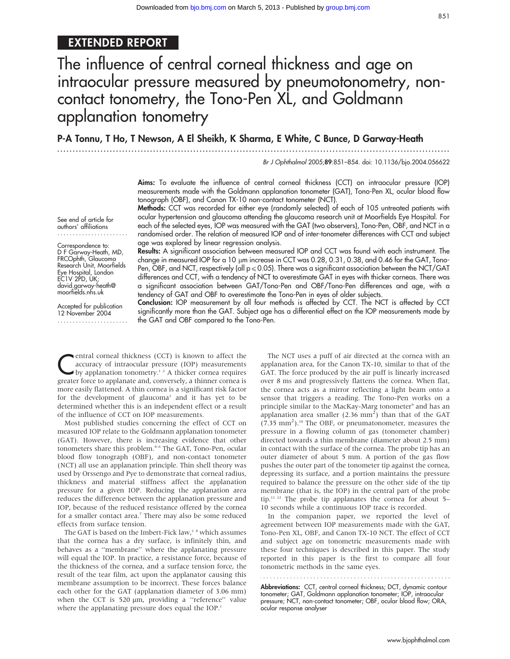# EXTENDED REPORT

# The influence of central corneal thickness and age on intraocular pressure measured by pneumotonometry, noncontact tonometry, the Tono-Pen XL, and Goldmann applanation tonometry

...............................................................................................................................

P-A Tonnu, T Ho, T Newson, A El Sheikh, K Sharma, E White, C Bunce, D Garway-Heath

Br J Ophthalmol 2005;89:851–854. doi: 10.1136/bjo.2004.056622

Aims: To evaluate the influence of central corneal thickness (CCT) on intraocular pressure (IOP) measurements made with the Goldmann applanation tonometer (GAT), Tono-Pen XL, ocular blood flow

tonograph (OBF), and Canon TX-10 non-contact tonometer (NCT). Methods: CCT was recorded for either eye (randomly selected) of each of 105 untreated patients with ocular hypertension and glaucoma attending the glaucoma research unit at Moorfields Eye Hospital. For each of the selected eyes, IOP was measured with the GAT (two observers), Tono-Pen, OBF, and NCT in a randomised order. The relation of measured IOP and of inter-tonometer differences with CCT and subject age was explored by linear regression analysis.

See end of article for authors' affiliations .......................

#### Correspondence to: D F Garway-Heath, MD,

FRCOphth, Glaucoma Research Unit, Moorfields Eye Hospital, London EC1V 2PD, UK; david.garway-heath@ moorfields.nhs.uk

Accepted for publication 12 November 2004 .......................

Results: A significant association between measured IOP and CCT was found with each instrument. The change in measured IOP for a 10 µm increase in CCT was 0.28, 0.31, 0.38, and 0.46 for the GAT, Tono-Pen, OBF, and NCT, respectively (all  $p \le 0.05$ ). There was a significant association between the NCT/GAT differences and CCT, with a tendency of NCT to overestimate GAT in eyes with thicker corneas. There was a significant association between GAT/Tono-Pen and OBF/Tono-Pen differences and age, with a tendency of GAT and OBF to overestimate the Tono-Pen in eyes of older subjects.

Conclusion: IOP measurement by all four methods is affected by CCT. The NCT is affected by CCT significantly more than the GAT. Subject age has a differential effect on the IOP measurements made by the GAT and OBF compared to the Tono-Pen.

**Central corneal thickness (CCT) is known to affect the**<br>accuracy of intraocular pressure (IOP) measurements<br>by applanation tonometry.<sup>1,2</sup> A thicker cornea requires accuracy of intraocular pressure (IOP) measurements greater force to applanate and, conversely, a thinner cornea is more easily flattened. A thin cornea is a significant risk factor for the development of glaucoma<sup>3</sup> and it has yet to be determined whether this is an independent effect or a result of the influence of CCT on IOP measurements.

Most published studies concerning the effect of CCT on measured IOP relate to the Goldmann applanation tonometer (GAT). However, there is increasing evidence that other tonometers share this problem.<sup>4-6</sup> The GAT, Tono-Pen, ocular blood flow tonograph (OBF), and non-contact tonometer (NCT) all use an applanation principle. Thin shell theory was used by Orssengo and Pye to demonstrate that corneal radius, thickness and material stiffness affect the applanation pressure for a given IOP. Reducing the applanation area reduces the difference between the applanation pressure and IOP, because of the reduced resistance offered by the cornea for a smaller contact area.<sup>7</sup> There may also be some reduced effects from surface tension.

The GAT is based on the Imbert-Fick law,<sup>18</sup> which assumes that the cornea has a dry surface, is infinitely thin, and behaves as a ''membrane'' where the applanating pressure will equal the IOP. In practice, a resistance force, because of the thickness of the cornea, and a surface tension force, the result of the tear film, act upon the applanator causing this membrane assumption to be incorrect. These forces balance each other for the GAT (applanation diameter of 3.06 mm) when the CCT is 520 µm, providing a "reference" value where the applanating pressure does equal the IOP.<sup>1</sup>

The NCT uses a puff of air directed at the cornea with an applanation area, for the Canon TX-10, similar to that of the GAT. The force produced by the air puff is linearly increased over 8 ms and progressively flattens the cornea. When flat, the cornea acts as a mirror reflecting a light beam onto a sensor that triggers a reading. The Tono-Pen works on a principle similar to the MacKay-Marg tonometer<sup>9</sup> and has an applanation area smaller (2.36 mm<sup>2</sup>) than that of the GAT (7.35 mm<sup>2</sup> ).10 The OBF, or pneumatonometer, measures the pressure in a flowing column of gas (tonometer chamber) directed towards a thin membrane (diameter about 2.5 mm) in contact with the surface of the cornea. The probe tip has an outer diameter of about 5 mm. A portion of the gas flow pushes the outer part of the tonometer tip against the cornea, depressing its surface, and a portion maintains the pressure required to balance the pressure on the other side of the tip membrane (that is, the IOP) in the central part of the probe tip.<sup>11 12</sup> The probe tip applanates the cornea for about 5-10 seconds while a continuous IOP trace is recorded.

In the companion paper, we reported the level of agreement between IOP measurements made with the GAT, Tono-Pen XL, OBF, and Canon TX-10 NCT. The effect of CCT and subject age on tonometric measurements made with these four techniques is described in this paper. The study reported in this paper is the first to compare all four tonometric methods in the same eyes.

Abbreviations: CCT, central corneal thickness; DCT, dynamic contour tonometer; GAT, Goldmann applanation tonometer; IOP, intraocular pressure; NCT, non-contact tonometer; OBF, ocular blood flow; ORA, ocular response analyser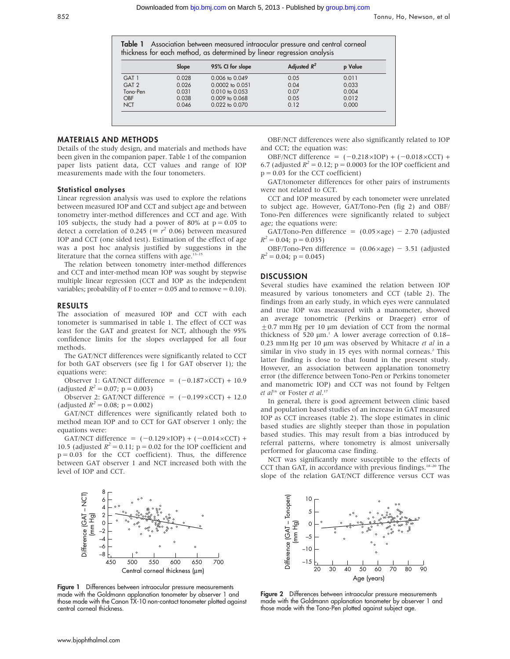Table 1 Association between measured intraocular pressure and central corneal thickness for each method, as determined by linear regression analysis

|                  | Slope | 95% CI for slope          | Adjusted $R^2$ | p Value |
|------------------|-------|---------------------------|----------------|---------|
| GAT <sub>1</sub> | 0.028 | $0.006$ to $0.049$        | 0.05           | 0.011   |
| GAT <sub>2</sub> | 0.026 | $0.0002$ to $0.051$       | 0.04           | 0.033   |
| Tono-Pen         | 0.031 | $0.010 \text{ to } 0.053$ | 0.07           | 0.004   |
| <b>OBF</b>       | 0.038 | $0.009$ to $0.068$        | 0.05           | 0.012   |
| <b>NCT</b>       | 0.046 | 0.022 to 0.070            | 0.12           | 0.000   |

#### MATERIALS AND METHODS

Details of the study design, and materials and methods have been given in the companion paper. Table 1 of the companion paper lists patient data, CCT values and range of IOP measurements made with the four tonometers.

#### Statistical analyses

Linear regression analysis was used to explore the relations between measured IOP and CCT and subject age and between tonometry inter-method differences and CCT and age. With 105 subjects, the study had a power of 80% at  $p = 0.05$  to detect a correlation of 0.245 ( $\equiv r^2$  0.06) between measured IOP and CCT (one sided test). Estimation of the effect of age was a post hoc analysis justified by suggestions in the literature that the cornea stiffens with age. $13-15$ 

The relation between tonometry inter-method differences and CCT and inter-method mean IOP was sought by stepwise multiple linear regression (CCT and IOP as the independent variables; probability of F to enter  $= 0.05$  and to remove  $= 0.10$ ).

#### RESULTS

The association of measured IOP and CCT with each tonometer is summarised in table 1. The effect of CCT was least for the GAT and greatest for NCT, although the 95% confidence limits for the slopes overlapped for all four methods.

The GAT/NCT differences were significantly related to CCT for both GAT observers (see fig 1 for GAT observer 1); the equations were:

Observer 1: GAT/NCT difference =  $(-0.187 \times CCT) + 10.9$ (adjusted  $R^2 = 0.07$ ; p = 0.003)

Observer 2: GAT/NCT difference =  $(-0.199 \times CCT) + 12.0$ (adjusted  $R^2 = 0.08$ ; p = 0.002)

GAT/NCT differences were significantly related both to method mean IOP and to CCT for GAT observer 1 only; the equations were:

GAT/NCT difference =  $(-0.129 \times IOP) + (-0.014 \times CCT) +$ 10.5 (adjusted  $R^2 = 0.11$ ; p = 0.02 for the IOP coefficient and  $p = 0.03$  for the CCT coefficient). Thus, the difference between GAT observer 1 and NCT increased both with the level of IOP and CCT.



Figure 1 Differences between intraocular pressure measurements made with the Goldmann applanation tonometer by observer 1 and those made with the Canon TX-10 non-contact tonometer plotted against central corneal thickness.

OBF/NCT differences were also significantly related to IOP and CCT; the equation was:

OBF/NCT difference =  $(-0.218 \times IOP) + (-0.018 \times CCT) +$ 6.7 (adjusted  $R^2 = 0.12$ ; p = 0.0003 for the IOP coefficient and  $p = 0.03$  for the CCT coefficient)

GAT/tonometer differences for other pairs of instruments were not related to CCT.

CCT and IOP measured by each tonometer were unrelated to subject age. However, GAT/Tono-Pen (fig 2) and OBF/ Tono-Pen differences were significantly related to subject age; the equations were:

GAT/Tono-Pen difference =  $(0.05 \times age) - 2.70$  (adjusted  $R^2 = 0.04$ ; p = 0.035)

OBF/Tono-Pen difference =  $(0.06 \times age) - 3.51$  (adjusted  $R^2 = 0.04$ ; p = 0.045)

#### **DISCUSSION**

Several studies have examined the relation between IOP measured by various tonometers and CCT (table 2). The findings from an early study, in which eyes were cannulated and true IOP was measured with a manometer, showed an average tonometric (Perkins or Draeger) error of  $\pm$ 0.7 mm Hg per 10 µm deviation of CCT from the normal thickness of 520  $\mu$ m.<sup>1</sup> A lower average correction of 0.18– 0.23 mm Hg per 10  $\mu$ m was observed by Whitacre et al in a similar in vivo study in 15 eyes with normal corneas.<sup>2</sup> This latter finding is close to that found in the present study. However, an association between applanation tonometry error (the difference between Tono-Pen or Perkins tonometer and manometric IOP) and CCT was not found by Feltgen et al<sup>16</sup> or Foster et al.<sup>17</sup>

In general, there is good agreement between clinic based and population based studies of an increase in GAT measured IOP as CCT increases (table 2). The slope estimates in clinic based studies are slightly steeper than those in population based studies. This may result from a bias introduced by referral patterns, where tonometry is almost universally performed for glaucoma case finding.

NCT was significantly more susceptible to the effects of CCT than GAT, in accordance with previous findings.<sup>18-20</sup> The slope of the relation GAT/NCT difference versus CCT was



Figure 2 Differences between intraocular pressure measurements made with the Goldmann applanation tonometer by observer 1 and those made with the Tono-Pen plotted against subject age.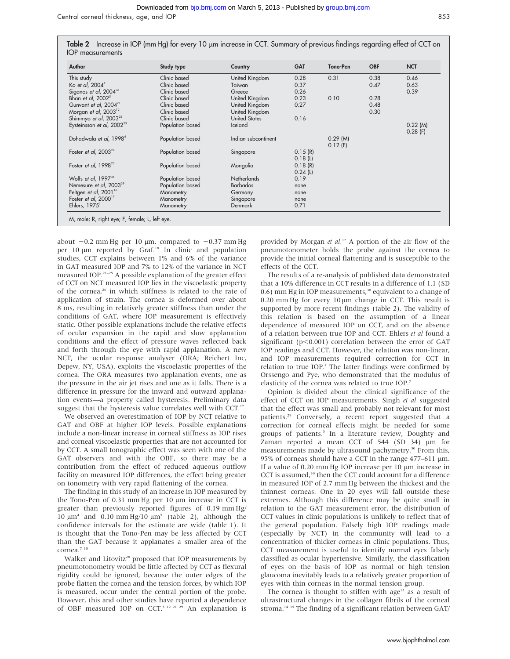Central corneal thickness, age, and IOP 853

| Table 2 Increase in IOP (mm Hg) for every 10 µm increase in CCT. Summary of previous findings regarding effect of CCT on |  |  |
|--------------------------------------------------------------------------------------------------------------------------|--|--|
| <b>IOP</b> measurements                                                                                                  |  |  |

| Author                                | Study type       | Country              | <b>GAT</b> | Tono-Pen   | <b>OBF</b> | <b>NCT</b> |
|---------------------------------------|------------------|----------------------|------------|------------|------------|------------|
| This study                            | Clinic based     | United Kingdom       | 0.28       | 0.31       | 0.38       | 0.46       |
| Ko et al, 2004 <sup>6</sup>           | Clinic based     | Taiwan               | 0.37       |            | 0.47       | 0.63       |
| Siganos et al, 2004 <sup>36</sup>     | Clinic based     | Greece               | 0.26       |            |            | 0.39       |
| Bhan et al, 2002 <sup>5</sup>         | Clinic based     | United Kingdom       | 0.23       | 0.10       | 0.28       |            |
| Gunvant et al, 2004 <sup>21</sup>     | Clinic based     | United Kingdom       | 0.27       |            | 0.48       |            |
| Morgan et al, $2003^{12}$             | Clinic based     | United Kingdom       |            |            | 0.30       |            |
| Shimmyo et al, 2003 <sup>22</sup>     | Clinic based     | <b>United States</b> | 0.16       |            |            |            |
| Eysteinsson et al, 2002 <sup>23</sup> | Population based | <b>Iceland</b>       |            |            |            | $0.22$ (M) |
|                                       |                  |                      |            |            |            | $0.28$ (F) |
| Dohadwala et al, 1998 <sup>4</sup>    | Population based | Indian subcontinent  |            | $0.29$ (M) |            |            |
|                                       |                  |                      |            | $0.12$ (F) |            |            |
| Foster et al, $2003^{24}$             | Population based | Singapore            | 0.15(R)    |            |            |            |
|                                       |                  |                      | 0.18(L)    |            |            |            |
| Foster et al, 1998 <sup>25</sup>      | Population based | Mongolia             | 0.18(R)    |            |            |            |
|                                       |                  |                      | $0.24$ (L) |            |            |            |
| Wolfs et al, $1997^{38}$              | Population based | <b>Netherlands</b>   | 0.19       |            |            |            |
| Nemesure et al, 2003 <sup>39</sup>    | Population based | <b>Barbados</b>      | none       |            |            |            |
| Feltgen et al, 2001 <sup>16</sup>     | Manometry        | Germany              | none       |            |            |            |
| Foster et al, 2000 <sup>17</sup>      | Manometry        | Singapore            | none       |            |            |            |
| Ehlers, $1975^{\circ}$                | Manometry        | Denmark              | 0.71       |            |            |            |

about  $-0.2$  mm Hg per 10 µm, compared to  $-0.37$  mm Hg per 10 µm reported by Graf.<sup>18</sup> In clinic and population studies, CCT explains between 1% and 6% of the variance in GAT measured IOP and 7% to 12% of the variance in NCT measured IOP.21–25 A possible explanation of the greater effect of CCT on NCT measured IOP lies in the viscoelastic property of the cornea,<sup>26</sup> in which stiffness is related to the rate of application of strain. The cornea is deformed over about 8 ms, resulting in relatively greater stiffness than under the conditions of GAT, where IOP measurement is effectively static. Other possible explanations include the relative effects of ocular expansion in the rapid and slow applanation conditions and the effect of pressure waves reflected back and forth through the eye with rapid applanation. A new NCT, the ocular response analyser (ORA; Reichert Inc, Depew, NY, USA), exploits the viscoelastic properties of the cornea. The ORA measures two applanation events, one as the pressure in the air jet rises and one as it falls. There is a difference in pressure for the inward and outward applanation events—a property called hysteresis. Preliminary data suggest that the hysteresis value correlates well with CCT.<sup>27</sup>

We observed an overestimation of IOP by NCT relative to GAT and OBF at higher IOP levels. Possible explanations include a non-linear increase in corneal stiffness as IOP rises and corneal viscoelastic properties that are not accounted for by CCT. A small tonographic effect was seen with one of the GAT observers and with the OBF, so there may be a contribution from the effect of reduced aqueous outflow facility on measured IOP differences, the effect being greater on tonometry with very rapid flattening of the cornea.

The finding in this study of an increase in IOP measured by the Tono-Pen of  $0.31$  mm Hg per  $10 \mu m$  increase in CCT is greater than previously reported figures of 0.19 mm Hg/ 10  $\mu$ m<sup>4</sup> and 0.10 mm Hg/10  $\mu$ m<sup>5</sup> (table 2), although the confidence intervals for the estimate are wide (table 1). It is thought that the Tono-Pen may be less affected by CCT than the GAT because it applanates a smaller area of the cornea.<sup>7</sup> <sup>10</sup>

Walker and Litovitz<sup>28</sup> proposed that IOP measurements by pneumotonometry would be little affected by CCT as flexural rigidity could be ignored, because the outer edges of the probe flatten the cornea and the tension forces, by which IOP is measured, occur under the central portion of the probe. However, this and other studies have reported a dependence of OBF measured IOP on CCT.5 12 21 29 An explanation is

provided by Morgan et al.<sup>12</sup> A portion of the air flow of the pneumotonometer holds the probe against the cornea to provide the initial corneal flattening and is susceptible to the effects of the CCT.

The results of a re-analysis of published data demonstrated that a 10% difference in CCT results in a difference of 1.1 (SD 0.6) mm Hg in IOP measurements,<sup>30</sup> equivalent to a change of 0.20 mm Hg for every  $10 \mu m$  change in CCT. This result is supported by more recent findings (table 2). The validity of this relation is based on the assumption of a linear dependence of measured IOP on CCT, and on the absence of a relation between true IOP and CCT. Ehlers et al found a significant ( $p<0.001$ ) correlation between the error of GAT IOP readings and CCT. However, the relation was non-linear, and IOP measurements required correction for CCT in relation to true IOP.<sup>1</sup> The latter findings were confirmed by Orssengo and Pye, who demonstrated that the modulus of elasticity of the cornea was related to true IOP.7

Opinion is divided about the clinical significance of the effect of CCT on IOP measurements. Singh et al suggested that the effect was small and probably not relevant for most patients.<sup>29</sup> Conversely, a recent report suggested that a correction for corneal effects might be needed for some groups of patients.<sup>5</sup> In a literature review, Doughty and Zaman reported a mean CCT of  $544$  (SD  $34$ )  $\mu$ m for measurements made by ultrasound pachymetry.<sup>30</sup> From this, 95% of corneas should have a CCT in the range 477–611  $\mu$ m. If a value of 0.20 mm Hg IOP increase per 10 µm increase in CCT is assumed,<sup>30</sup> then the CCT could account for a difference in measured IOP of 2.7 mm Hg between the thickest and the thinnest corneas. One in 20 eyes will fall outside these extremes. Although this difference may be quite small in relation to the GAT measurement error, the distribution of CCT values in clinic populations is unlikely to reflect that of the general population. Falsely high IOP readings made (especially by NCT) in the community will lead to a concentration of thicker corneas in clinic populations. Thus, CCT measurement is useful to identify normal eyes falsely classified as ocular hypertensive. Similarly, the classification of eyes on the basis of IOP as normal or high tension glaucoma inevitably leads to a relatively greater proportion of eyes with thin corneas in the normal tension group.

The cornea is thought to stiffen with age<sup>13</sup> as a result of ultrastructural changes in the collagen fibrils of the corneal stroma.<sup>14 15</sup> The finding of a significant relation between GAT/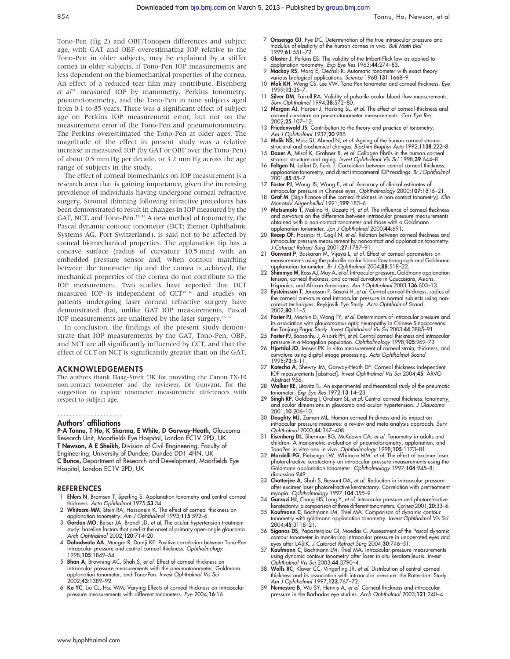Tono-Pen (fig 2) and OBF/Tonopen differences and subject age, with GAT and OBF overestimating IOP relative to the Tono-Pen in older subjects, may be explained by a stiffer cornea in older subjects, if Tono-Pen IOP measurements are less dependent on the biomechanical properties of the cornea. An effect of a reduced tear film may contribute. Eisenberg et  $a^{13}$  measured IOP by manometry, Perkins tonometry, pneumotonometry, and the Tono-Pen in nine subjects aged from 0.1 to 85 years. There was a significant effect of subject age on Perkins IOP measurement error, but not on the measurement error of the Tono-Pen and pneumotonometry. The Perkins overestimated the Tono-Pen at older ages. The magnitude of the effect in present study was a relative increase in measured IOP (by GAT or OBF over the Tono-Pen) of about 0.5 mm Hg per decade, or 3.2 mm Hg across the age range of subjects in the study.

The effect of corneal biomechanics on IOP measurement is a research area that is gaining importance, given the increasing prevalence of individuals having undergone corneal refractive surgery. Stromal thinning following refractive procedures has been demonstrated to result in changes in IOP measured by the GAT, NCT, and Tono-Pen.<sup>32-34</sup> A new method of tonometry, the Pascal dynamic contour tonometer (DCT; Ziemer Ophthalmic Systems AG, Port Switzerland), is said not to be affected by corneal biomechanical properties. The applanation tip has a concave surface (radius of curvature 10.5 mm) with an embedded pressure sensor and, when contour matching between the tonometer tip and the cornea is achieved, the mechanical properties of the cornea do not contribute to the IOP measurement. Two studies have reported that DCT measured IOP is independent of  $CCT<sup>35 36</sup>$  and studies on patients undergoing laser corneal refractive surgery have demonstrated that, unlike GAT IOP measurements, Pascal IOP measurements are unaltered by the laser surgery.<sup>36 37</sup>

In conclusion, the findings of the present study demonstrate that IOP measurements by the GAT, Tono-Pen, OBF, and NCT are all significantly influenced by CCT, and that the effect of CCT on NCT is significantly greater than on the GAT.

#### ACKNOWLEDGEMENTS

The authors thank Haag-Streit UK for providing the Canon TX-10 non-contact tonometer and the reviewer, Dr Gunvant, for the suggestion to explore tonometer measurement differences with respect to subject age.

## .....................

### Authors' affiliations

P-A Tonnu, T Ho, K Sharma, E White, D Garway-Heath, Glaucoma Research Unit, Moorfields Eye Hospital, London EC1V 2PD, UK T Newson, A E Sheikh, Division of Civil Engineering, Faculty of Engineering, University of Dundee, Dundee DD1 4HN, UK C Bunce, Department of Research and Development, Moorfields Eye Hospital, London EC1V 2PD, UK

#### **REFERENCES**

- 1 Ehlers N, Bramsen T, Sperling S. Applanation tonometry and central corneal thickness. Acta Ophthalmol 1975;53:34.
- 2 Whitacre MM, Stein RA, Hassanein K. The effect of corneal thickness on applanation tonometry. Am J Ophthalmol 1993;115:592–6.
- 3 Gordon MO, Beiser JA, Brandt JD, et al. The ocular hypertension treatment study: baseline factors that predict the onset of primary open-angle glaucoma. Arch Ophthalmol 2002;120:714–20.
- 4 Dohadwala AA, Munger R, Damji KF. Positive correlation between Tono-Pen intraocular pressure and central corneal thickness. Ophthalmology 1998;105:1849–54.
- 5 Bhan A, Browning AC, Shah S, et al. Effect of corneal thickness on intraocular pressure measurements with the pneumotonometer, Goldmann applanation tonometer, and Tono-Pen. Invest Ophthalmol Vis Sci 2002;43:1389–92.
- 6 Ko YC, Liu CL, Hsu WM. Varying Effects of corneal thickness on intraocular pressure measurements with different tonometers. Eye 2004;16:16.
- 7 Orssengo GJ, Pye DC. Determination of the true intraocular pressure and modulus of elasticity of the human cornea in vivo. Bull Math Biol 1999;61:551–72.
- 8 Gloster J, Perkins ES. The validity of the Imbert-Flick law as applied to
- applanation tonometry. Exp Eye Res 1963;44:274–83.<br>9 Mackay RS, Marg E, Oechsli R. Automatic tonometer with exact theory: various biological applications. Science 1960;131:1668–9.
- 10 Mok KH, Wong CS, Lee VW. Tono-Pen tonometer and corneal thickness. Eye 1999;13:35–7.
- 11 Silver DM, Farrell RA. Validity of pulsatile ocular blood flow measurements. Surv Ophthalmol 1994;38:S72-80.
- 12 Morgan AJ, Harper J, Hosking SL, et al. The effect of corneal thickness and corneal curvature on pneumatonometer measurements. Curr Eye Res 2002;25:107–12.
- 13 Friedenwald JS. Contribution to the theory and practice of tonometry. Am J Ophthalmol 1937;20:985.
- 14 Malik NS, Moss SJ, Ahmed N, et al. Ageing of the human corneal stroma: structural and biochemical changes. Biochim Biophys Acta 1992;1138:222–8. 15 Daxer A, Misof K, Grabner B, et al. Collagen fibrils in the human corneal
- stroma: structure and aging. Invest Ophthalmol Vis Sci 1998;39:644–8. 16 Feltgen N, Leifert D, Funk J. Correlation between central corneal thickness,
- applanation tonometry, and direct intracameral IOP readings. *Br J Ophthalmol*<br>2001;**85**:85–7.
- 17 Foster PJ, Wong JS, Wong E, et al. Accuracy of clinical estimates of
- intraocular pressure in Chinese eyes. Ophthalmology 2000;107:1816–21. 18 Graf M. [Significance of the corneal thickness in non-contact tonometry]. Klin Monatsbl Augenheilkd 1991;199:183–6.
- 19 Matsumoto T, Makino H, Uozato H, et al. The influence of corneal thickness and curvature on the difference between intraocular pressure measurements obtained with a non-contact tonometer and those with a Goldmann applanation tonometer. Jpn J Ophthalmol 2000;44:691.
- 20 Recep OF, Hasiripi H, Cagil N, et al. Relation between corneal thickness and intraocular pressure measurement by noncontact and applanation tonometry. J Cataract Refract Surg 2001;27:1787–91.
- 21 **Gunvant P**, Baskaran M, Vijaya L, et al. Effect of corneal parameters on<br>measurements using the pulsatile ocular blood flow tonograph and Goldmann<br>applanation tonometer. *Br J Ophthalmol* 2004;**88**:518–22.
- 22 Shimmyo M, Ross AJ, Moy A, et al. Intraocular pressure, Goldmann applanation tension, corneal thickness, and corneal curvature in Caucasians, Asians, Hispanics, and African Americans. Am J Ophthalmol 2003;136:603-13.
- 23 Eysteinsson T, Jonasson F, Sasaki H, et al. Central corneal thickness, radius of the corneal curvature and intraocular pressure in normal subjects using noncontact techniques: Reykjavik Eye Study. Acta Ophthalmol Scand 2002;80:11–5.
- 24 Foster PJ, Machin D, Wong TY, et al. Determinants of intraocular pressure and its association with glaucomatous optic neuropathy in Chinese Singaporeans:<br>the Tanjong Pagar Study. *Invest Ophthalmol Vis Sci* 2003;4**4**:3885–91.
- 25 Foster PJ, Baasanhu J, Alsbirk PH, et al. Central corneal thickness and intraocular pressure in a Mongolian population. Ophthalmology 1998;105:969-73.
- 26 Hjortdal JO, Jensen PK. In vitro measurement of corneal strain, thickness, and curvature using digital image processing. Acta Ophthalmol Scand  $1995:73:5-11$
- 27 Kotecha A, Shewry JM, Garway-Heath DF. Corneal thickness independent IOP measurements [abstract]. Invest Ophthalmol Vis Sci 2004;45: ARVO Abstract 956.
- 28 Walker RE, Litovitz TL. An experimental and theoretical study of the pneumatic tonometer. Exp Eye Res 1972;13:14–23.
- 29 Singh RP, Goldberg I, Graham SL, et al. Central corneal thickness, tonometry, and ocular dimensions in glaucoma and ocular hypertension. J Glaucoma 2001;10:206–10.
- 30 Doughty MJ, Zaman ML. Human corneal thickness and its impact on intraocular pressure measures: a review and meta-analysis approach. Surv Ophthalmol 2000;44:367–408.
- 31 Eisenberg DL, Sherman BG, McKeown CA, et al. Tonometry in adults and children. A manometric evaluation of pneumatonometry, applanation, and<br>TonoPen in vitro and in vivo. *Ophthalmology* 1998;**105**:1173–81.<br>32 **Mardelli PG**, Piebenga LW, Whitacre MM, *et al.* The effect of excimer laser
- photorefractive keratectomy on intraocular pressure measurements using the<br>Goldmann applanation tonometer. *Ophthalmology* 1997;**104**:945–8; discussion 949.
- 33 Chatterjee A, Shah S, Bessant DA, et al. Reduction in intraocular pressure after excimer laser photorefractive keratectomy. Correlation with pretreatment myopia. Ophthalmology 1997;104:355–9.
- 34 **Garzozi HJ**, Chung HS, Lang Y, *et al.* Intraocular pressure and photorefractive<br>keratectomy: a comparison of three different tonometers. *Cornea* 2001;**20**:33–6.<br>35 **Kaufmann C**, Bachmann LM, Thiel MA. Comparison of d
- tonometry with goldmann applanation tonometry. Invest Ophthalmol Vis Sci 2004;45:3118–21.
- 36 Siganos DS, Papastergiou GI, Moedas C. Assessment of the Pascal dynamic contour tonometer in monitoring intraocular pressure in unoperated eyes and eyes after LASIK. J Cataract Refract Surg 2004;30:746–51.
- 37 Kaufmann C, Bachmann LM, Thiel MA. Intraocular pressure measurements using dynamic contour tonometry after laser in situ keratomileusis. Invest Ophthalmol Vis Sci 2003;44:3790–4.
- 38 Wolfs RC, Klaver CC, Vingerling JR, et al. Distribution of central corneal thickness and its association with intraocular pressure: the Rotterdam Study. Am J Ophthalmol 1997;123:767-72.
- 39 Nemesure B, Wu SY, Hennis A, et al. Corneal thickness and intraocular pressure in the Barbados eye studies. Arch Ophthalmol 2003;121:240–4.